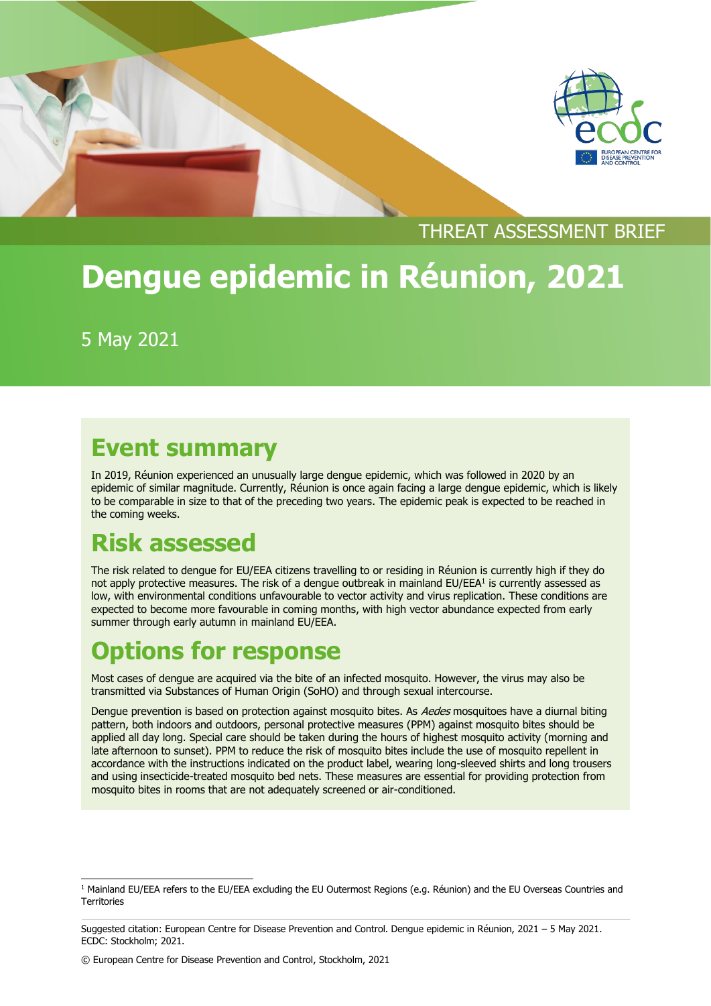



### THREAT ASSESSMENT BRIEF

# **Dengue epidemic in Réunion, 2021**

5 May 2021

### **Event summary**

In 2019, Réunion experienced an unusually large dengue epidemic, which was followed in 2020 by an epidemic of similar magnitude. Currently, Réunion is once again facing a large dengue epidemic, which is likely to be comparable in size to that of the preceding two years. The epidemic peak is expected to be reached in the coming weeks.

# **Risk assessed**

The risk related to dengue for EU/EEA citizens travelling to or residing in Réunion is currently high if they do not apply protective measures. The risk of a dengue outbreak in mainland EU/EEA<sup>1</sup> is currently assessed as low, with environmental conditions unfavourable to vector activity and virus replication. These conditions are expected to become more favourable in coming months, with high vector abundance expected from early summer through early autumn in mainland EU/EEA.

# **Options for response**

Most cases of dengue are acquired via the bite of an infected mosquito. However, the virus may also be transmitted via Substances of Human Origin (SoHO) and through sexual intercourse.

Dengue prevention is based on protection against mosquito bites. As Aedes mosquitoes have a diurnal biting pattern, both indoors and outdoors, personal protective measures (PPM) against mosquito bites should be applied all day long. Special care should be taken during the hours of highest mosquito activity (morning and late afternoon to sunset). PPM to reduce the risk of mosquito bites include the use of mosquito repellent in accordance with the instructions indicated on the product label, wearing long-sleeved shirts and long trousers and using insecticide-treated mosquito bed nets. These measures are essential for providing protection from mosquito bites in rooms that are not adequately screened or air-conditioned.

<sup>&</sup>lt;sup>1</sup> Mainland EU/EEA refers to the EU/EEA excluding the EU Outermost Regions (e.g. Réunion) and the EU Overseas Countries and **Territories** 

Suggested citation: European Centre for Disease Prevention and Control. Dengue epidemic in Réunion, 2021 – 5 May 2021. ECDC: Stockholm; 2021.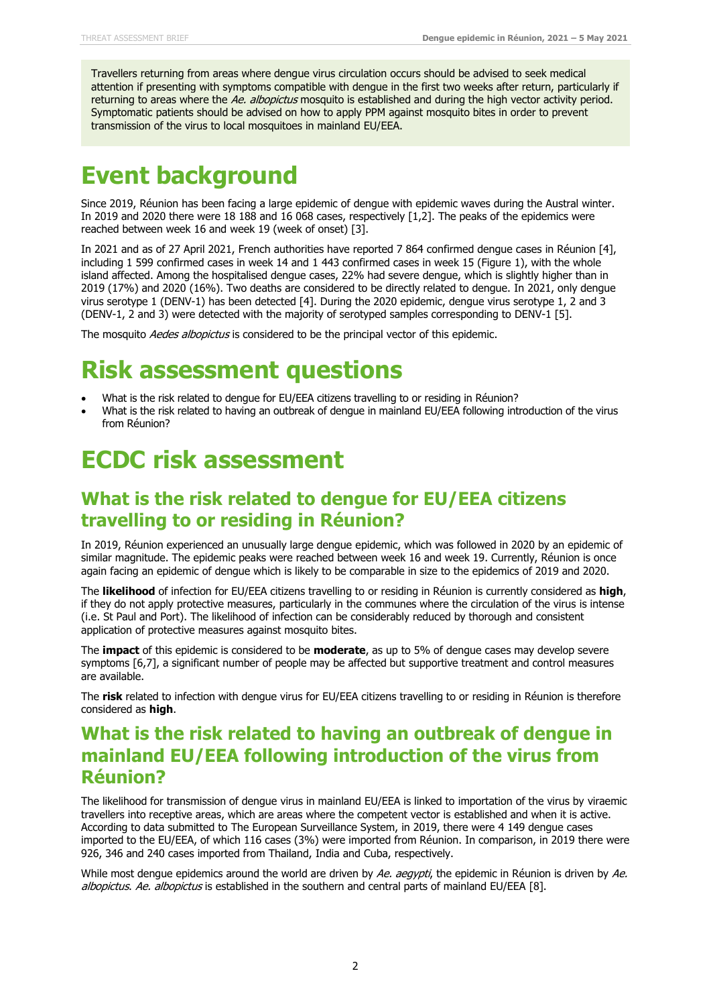Travellers returning from areas where dengue virus circulation occurs should be advised to seek medical attention if presenting with symptoms compatible with dengue in the first two weeks after return, particularly if returning to areas where the Ae. albopictus mosquito is established and during the high vector activity period. Symptomatic patients should be advised on how to apply PPM against mosquito bites in order to prevent transmission of the virus to local mosquitoes in mainland EU/EEA.

### **Event background**

Since 2019, Réunion has been facing a large epidemic of dengue with epidemic waves during the Austral winter. In 2019 and 2020 there were 18 188 and 16 068 cases, respectively [1,2]. The peaks of the epidemics were reached between week 16 and week 19 (week of onset) [3].

In 2021 and as of 27 April 2021, French authorities have reported 7 864 confirmed dengue cases in Réunion [4], including 1 599 confirmed cases in week 14 and 1 443 confirmed cases in week 15 (Figure 1), with the whole island affected. Among the hospitalised dengue cases, 22% had severe dengue, which is slightly higher than in 2019 (17%) and 2020 (16%). Two deaths are considered to be directly related to dengue. In 2021, only dengue virus serotype 1 (DENV-1) has been detected [4]. During the 2020 epidemic, dengue virus serotype 1, 2 and 3 (DENV-1, 2 and 3) were detected with the majority of serotyped samples corresponding to DENV-1 [5].

The mosquito Aedes albopictus is considered to be the principal vector of this epidemic.

### **Risk assessment questions**

- What is the risk related to dengue for EU/EEA citizens travelling to or residing in Réunion?
- What is the risk related to having an outbreak of dengue in mainland EU/EEA following introduction of the virus from Réunion?

### **ECDC risk assessment**

#### **What is the risk related to dengue for EU/EEA citizens travelling to or residing in Réunion?**

In 2019, Réunion experienced an unusually large dengue epidemic, which was followed in 2020 by an epidemic of similar magnitude. The epidemic peaks were reached between week 16 and week 19. Currently, Réunion is once again facing an epidemic of dengue which is likely to be comparable in size to the epidemics of 2019 and 2020.

The **likelihood** of infection for EU/EEA citizens travelling to or residing in Réunion is currently considered as **high**, if they do not apply protective measures, particularly in the communes where the circulation of the virus is intense (i.e. St Paul and Port). The likelihood of infection can be considerably reduced by thorough and consistent application of protective measures against mosquito bites.

The **impact** of this epidemic is considered to be **moderate**, as up to 5% of dengue cases may develop severe symptoms [6,7], a significant number of people may be affected but supportive treatment and control measures are available.

The **risk** related to infection with dengue virus for EU/EEA citizens travelling to or residing in Réunion is therefore considered as **high**.

#### **What is the risk related to having an outbreak of dengue in mainland EU/EEA following introduction of the virus from Réunion?**

The likelihood for transmission of dengue virus in mainland EU/EEA is linked to importation of the virus by viraemic travellers into receptive areas, which are areas where the competent vector is established and when it is active. According to data submitted to The European Surveillance System, in 2019, there were 4 149 dengue cases imported to the EU/EEA, of which 116 cases (3%) were imported from Réunion. In comparison, in 2019 there were 926, 346 and 240 cases imported from Thailand, India and Cuba, respectively.

While most dengue epidemics around the world are driven by Ae. aegypti, the epidemic in Réunion is driven by Ae. albopictus. Ae. albopictus is established in the southern and central parts of mainland EU/EEA [8].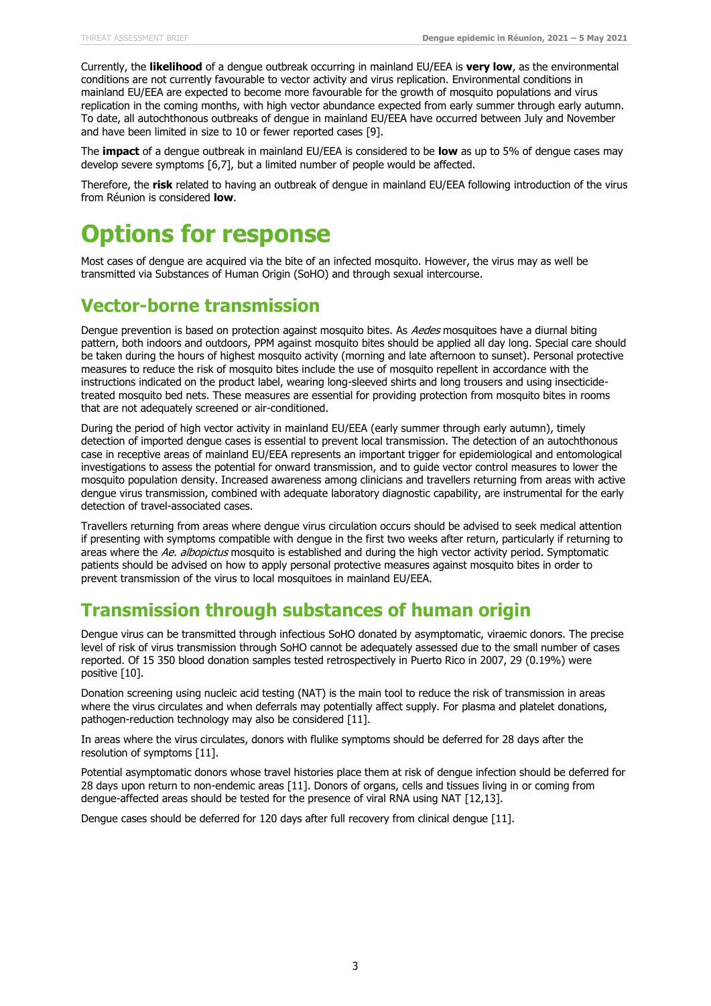Currently, the **likelihood** of a dengue outbreak occurring in mainland EU/EEA is **very low**, as the environmental conditions are not currently favourable to vector activity and virus replication. Environmental conditions in mainland EU/EEA are expected to become more favourable for the growth of mosquito populations and virus replication in the coming months, with high vector abundance expected from early summer through early autumn. To date, all autochthonous outbreaks of dengue in mainland EU/EEA have occurred between July and November and have been limited in size to 10 or fewer reported cases [9].

The **impact** of a dengue outbreak in mainland EU/EEA is considered to be **low** as up to 5% of dengue cases may develop severe symptoms [6,7], but a limited number of people would be affected.

Therefore, the **risk** related to having an outbreak of dengue in mainland EU/EEA following introduction of the virus from Réunion is considered **low**.

# **Options for response**

Most cases of dengue are acquired via the bite of an infected mosquito. However, the virus may as well be transmitted via Substances of Human Origin (SoHO) and through sexual intercourse.

#### **Vector-borne transmission**

Dengue prevention is based on protection against mosquito bites. As Aedes mosquitoes have a diurnal biting pattern, both indoors and outdoors, PPM against mosquito bites should be applied all day long. Special care should be taken during the hours of highest mosquito activity (morning and late afternoon to sunset). Personal protective measures to reduce the risk of mosquito bites include the use of mosquito repellent in accordance with the instructions indicated on the product label, wearing long-sleeved shirts and long trousers and using insecticidetreated mosquito bed nets. These measures are essential for providing protection from mosquito bites in rooms that are not adequately screened or air-conditioned.

During the period of high vector activity in mainland EU/EEA (early summer through early autumn), timely detection of imported dengue cases is essential to prevent local transmission. The detection of an autochthonous case in receptive areas of mainland EU/EEA represents an important trigger for epidemiological and entomological investigations to assess the potential for onward transmission, and to guide vector control measures to lower the mosquito population density. Increased awareness among clinicians and travellers returning from areas with active dengue virus transmission, combined with adequate laboratory diagnostic capability, are instrumental for the early detection of travel-associated cases.

Travellers returning from areas where dengue virus circulation occurs should be advised to seek medical attention if presenting with symptoms compatible with dengue in the first two weeks after return, particularly if returning to areas where the Ae. albopictus mosquito is established and during the high vector activity period. Symptomatic patients should be advised on how to apply personal protective measures against mosquito bites in order to prevent transmission of the virus to local mosquitoes in mainland EU/EEA.

#### **Transmission through substances of human origin**

Dengue virus can be transmitted through infectious SoHO donated by asymptomatic, viraemic donors. The precise level of risk of virus transmission through SoHO cannot be adequately assessed due to the small number of cases reported. Of 15 350 blood donation samples tested retrospectively in Puerto Rico in 2007, 29 (0.19%) were positive [10].

Donation screening using nucleic acid testing (NAT) is the main tool to reduce the risk of transmission in areas where the virus circulates and when deferrals may potentially affect supply. For plasma and platelet donations, pathogen-reduction technology may also be considered [11].

In areas where the virus circulates, donors with flulike symptoms should be deferred for 28 days after the resolution of symptoms [11].

Potential asymptomatic donors whose travel histories place them at risk of dengue infection should be deferred for 28 days upon return to non-endemic areas [11]. Donors of organs, cells and tissues living in or coming from dengue-affected areas should be tested for the presence of viral RNA using NAT [12,13].

Dengue cases should be deferred for 120 days after full recovery from clinical dengue [11].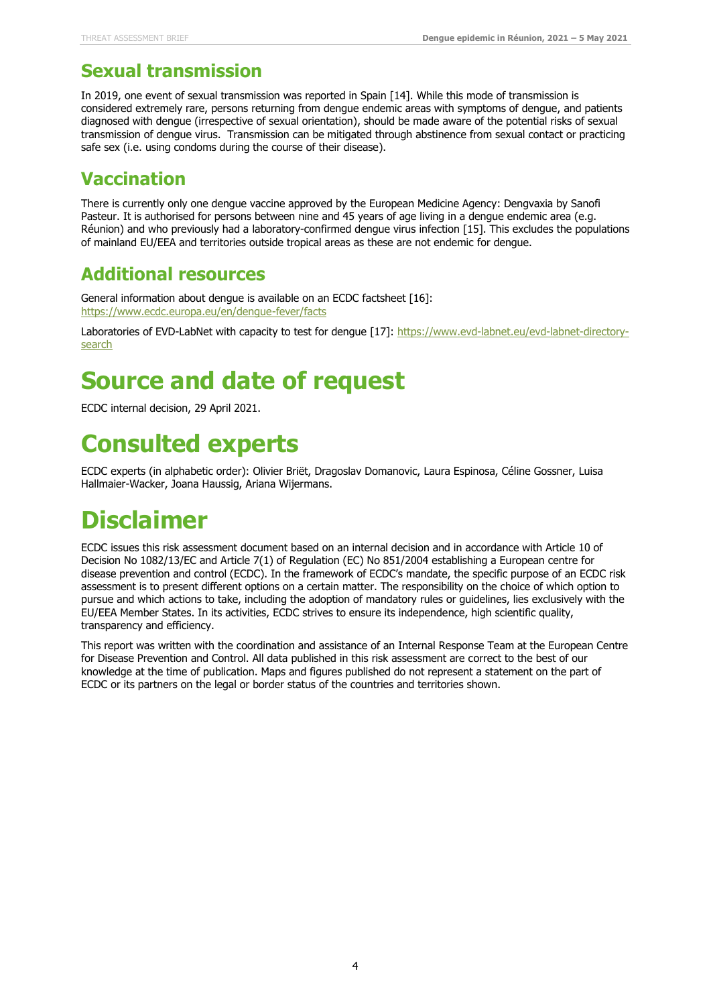#### **Sexual transmission**

In 2019, one event of sexual transmission was reported in Spain [14]. While this mode of transmission is considered extremely rare, persons returning from dengue endemic areas with symptoms of dengue, and patients diagnosed with dengue (irrespective of sexual orientation), should be made aware of the potential risks of sexual transmission of dengue virus. Transmission can be mitigated through abstinence from sexual contact or practicing safe sex (i.e. using condoms during the course of their disease).

### **Vaccination**

There is currently only one dengue vaccine approved by the European Medicine Agency: Dengvaxia by Sanofi Pasteur. It is authorised for persons between nine and 45 years of age living in a dengue endemic area (e.g. Réunion) and who previously had a laboratory-confirmed dengue virus infection [15]. This excludes the populations of mainland EU/EEA and territories outside tropical areas as these are not endemic for dengue.

#### **Additional resources**

General information about dengue is available on an ECDC factsheet [16]: <https://www.ecdc.europa.eu/en/dengue-fever/facts>

Laboratories of EVD-LabNet with capacity to test for dengue [17][: https://www.evd-labnet.eu/evd-labnet-directory](https://www.evd-labnet.eu/evd-labnet-directory-search)[search](https://www.evd-labnet.eu/evd-labnet-directory-search)

# **Source and date of request**

ECDC internal decision, 29 April 2021.

# **Consulted experts**

ECDC experts (in alphabetic order): Olivier Briët, Dragoslav Domanovic, Laura Espinosa, Céline Gossner, Luisa Hallmaier-Wacker, Joana Haussig, Ariana Wijermans.

# **Disclaimer**

ECDC issues this risk assessment document based on an internal decision and in accordance with Article 10 of Decision No 1082/13/EC and Article 7(1) of Regulation (EC) No 851/2004 establishing a European centre for disease prevention and control (ECDC). In the framework of ECDC's mandate, the specific purpose of an ECDC risk assessment is to present different options on a certain matter. The responsibility on the choice of which option to pursue and which actions to take, including the adoption of mandatory rules or guidelines, lies exclusively with the EU/EEA Member States. In its activities, ECDC strives to ensure its independence, high scientific quality, transparency and efficiency.

This report was written with the coordination and assistance of an Internal Response Team at the European Centre for Disease Prevention and Control. All data published in this risk assessment are correct to the best of our knowledge at the time of publication. Maps and figures published do not represent a statement on the part of ECDC or its partners on the legal or border status of the countries and territories shown.